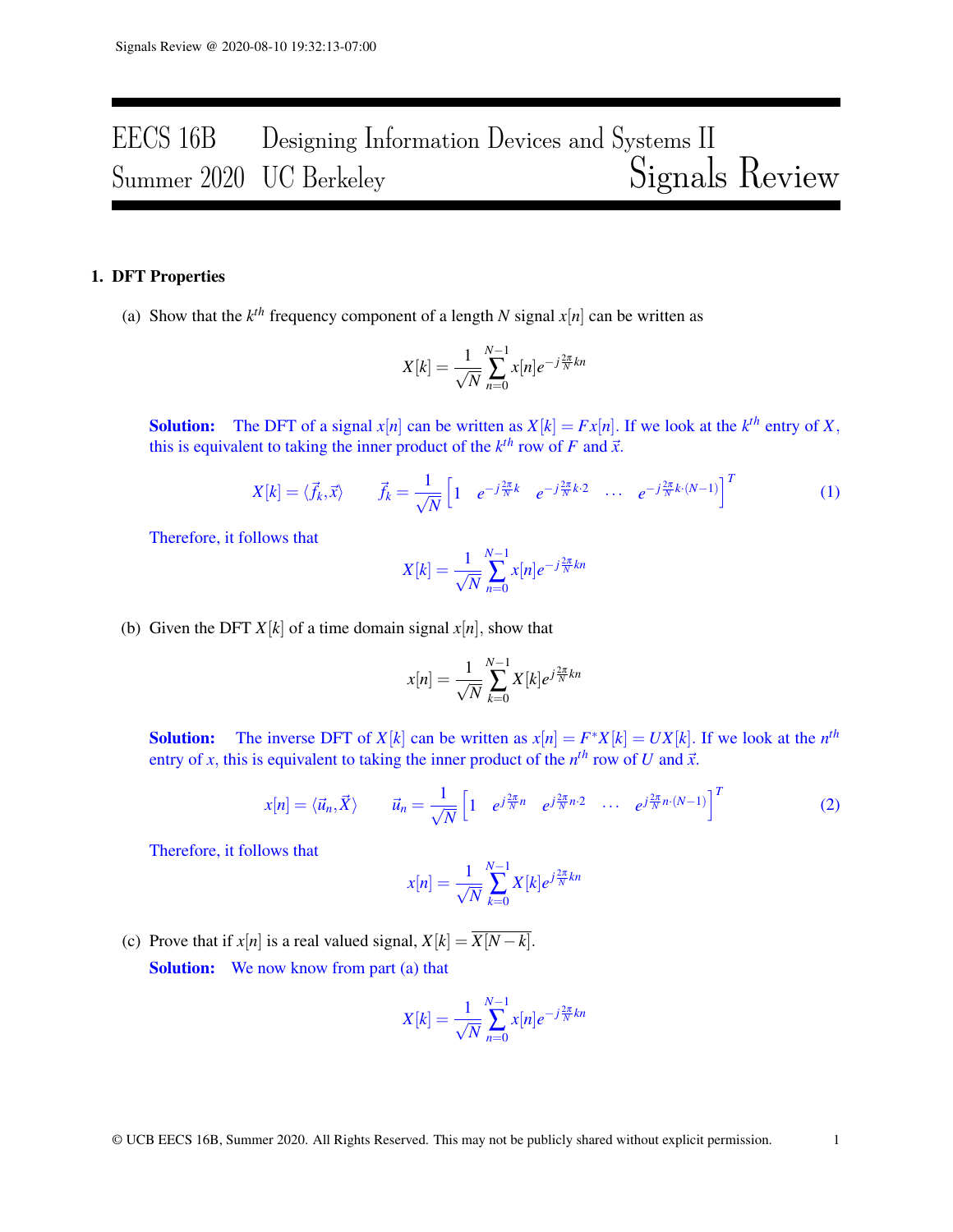# EECS 16B Designing Information Devices and Systems II Summer 2020 UC Berkeley Signals Review

# 1. DFT Properties

(a) Show that the  $k^{th}$  frequency component of a length *N* signal  $x[n]$  can be written as

$$
X[k] = \frac{1}{\sqrt{N}} \sum_{n=0}^{N-1} x[n] e^{-j\frac{2\pi}{N}kn}
$$

**Solution:** The DFT of a signal  $x[n]$  can be written as  $X[k] = Fx[n]$ . If we look at the  $k^{th}$  entry of *X*, this is equivalent to taking the inner product of the  $k^{th}$  row of *F* and  $\vec{x}$ .

$$
X[k] = \langle \vec{f}_k, \vec{x} \rangle \qquad \vec{f}_k = \frac{1}{\sqrt{N}} \begin{bmatrix} 1 & e^{-j\frac{2\pi}{N}k} & e^{-j\frac{2\pi}{N}k \cdot 2} & \cdots & e^{-j\frac{2\pi}{N}k \cdot (N-1)} \end{bmatrix}^T \tag{1}
$$

Therefore, it follows that

$$
X[k] = \frac{1}{\sqrt{N}} \sum_{n=0}^{N-1} x[n] e^{-j\frac{2\pi}{N}kn}
$$

(b) Given the DFT  $X[k]$  of a time domain signal  $x[n]$ , show that

$$
x[n] = \frac{1}{\sqrt{N}} \sum_{k=0}^{N-1} X[k] e^{j\frac{2\pi}{N}kn}
$$

**Solution:** The inverse DFT of  $X[k]$  can be written as  $x[n] = F^*X[k] = UX[k]$ . If we look at the  $n^{th}$ entry of *x*, this is equivalent to taking the inner product of the  $n^{th}$  row of *U* and  $\vec{x}$ .

$$
x[n] = \langle \vec{u}_n, \vec{X} \rangle \qquad \vec{u}_n = \frac{1}{\sqrt{N}} \begin{bmatrix} 1 & e^{j\frac{2\pi}{N}n} & e^{j\frac{2\pi}{N}n \cdot 2} & \cdots & e^{j\frac{2\pi}{N}n \cdot (N-1)} \end{bmatrix}^T
$$
 (2)

Therefore, it follows that

$$
x[n] = \frac{1}{\sqrt{N}} \sum_{k=0}^{N-1} X[k] e^{j\frac{2\pi}{N}kn}
$$

(c) Prove that if  $x[n]$  is a real valued signal,  $X[k] = \overline{X[N-k]}$ . Solution: We now know from part (a) that

$$
X[k] = \frac{1}{\sqrt{N}} \sum_{n=0}^{N-1} x[n] e^{-j\frac{2\pi}{N}kn}
$$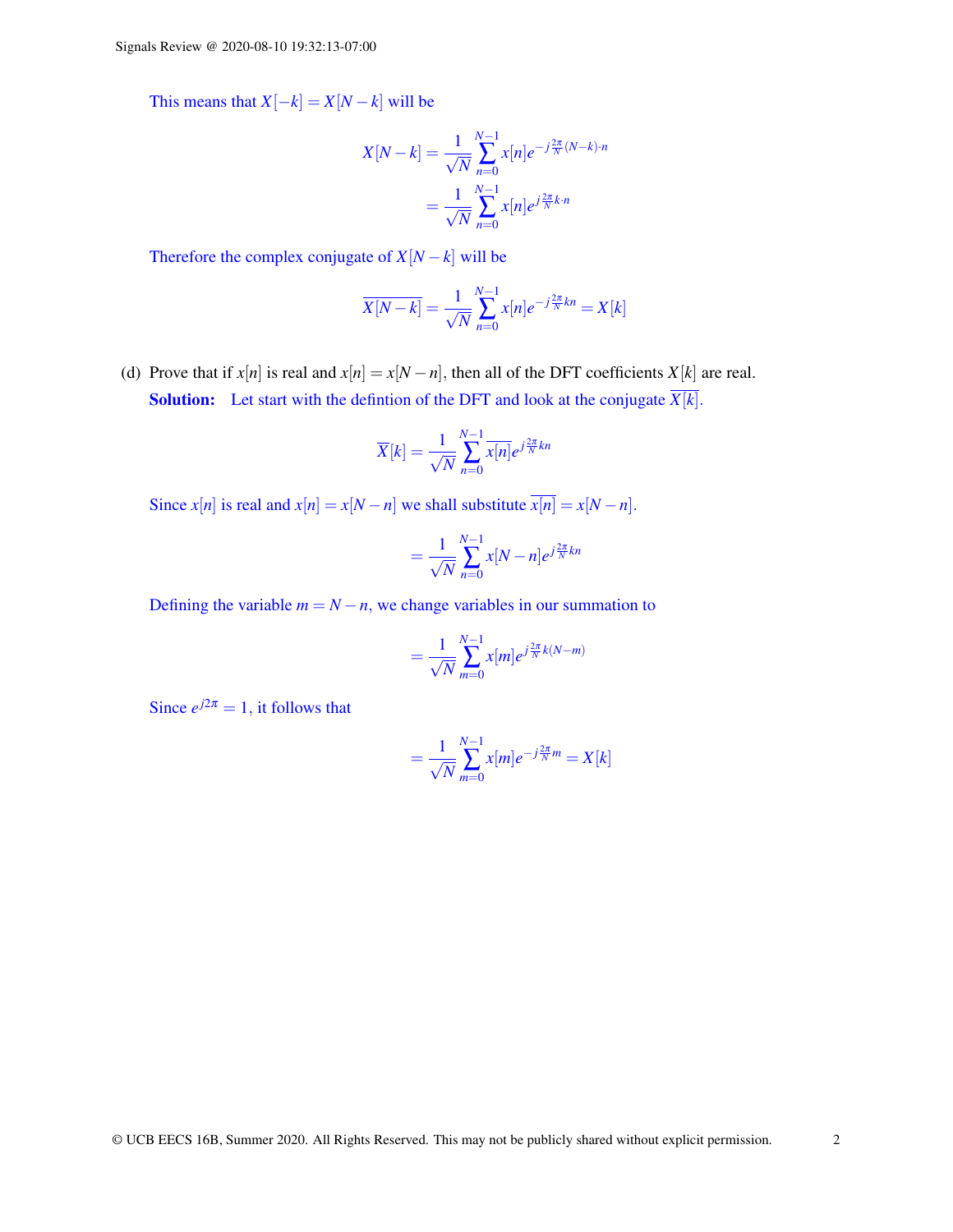This means that  $X[-k] = X[N-k]$  will be

$$
X[N-k] = \frac{1}{\sqrt{N}} \sum_{n=0}^{N-1} x[n] e^{-j\frac{2\pi}{N}(N-k)\cdot n}
$$

$$
= \frac{1}{\sqrt{N}} \sum_{n=0}^{N-1} x[n] e^{j\frac{2\pi}{N}k\cdot n}
$$

Therefore the complex conjugate of  $X[N - k]$  will be

$$
\overline{X[N-k]} = \frac{1}{\sqrt{N}} \sum_{n=0}^{N-1} x[n] e^{-j\frac{2\pi}{N}kn} = X[k]
$$

(d) Prove that if  $x[n]$  is real and  $x[n] = x[N - n]$ , then all of the DFT coefficients  $X[k]$  are real. **Solution:** Let start with the defintion of the DFT and look at the conjugate  $\overline{X[k]}$ .

$$
\overline{X}[k] = \frac{1}{\sqrt{N}} \sum_{n=0}^{N-1} \overline{x[n]} e^{j\frac{2\pi}{N}kn}
$$

Since *x*[*n*] is real and *x*[*n*] = *x*[*N* − *n*] we shall substitute  $\overline{x[n]} = x[N - n]$ .

$$
= \frac{1}{\sqrt{N}} \sum_{n=0}^{N-1} x[N-n] e^{j\frac{2\pi}{N}kn}
$$

Defining the variable  $m = N - n$ , we change variables in our summation to

$$
=\frac{1}{\sqrt{N}}\sum_{m=0}^{N-1}x[m]e^{j\frac{2\pi}{N}k(N-m)}
$$

Since  $e^{j2\pi} = 1$ , it follows that

$$
=\frac{1}{\sqrt{N}}\sum_{m=0}^{N-1}x[m]e^{-j\frac{2\pi}{N}m}=X[k]
$$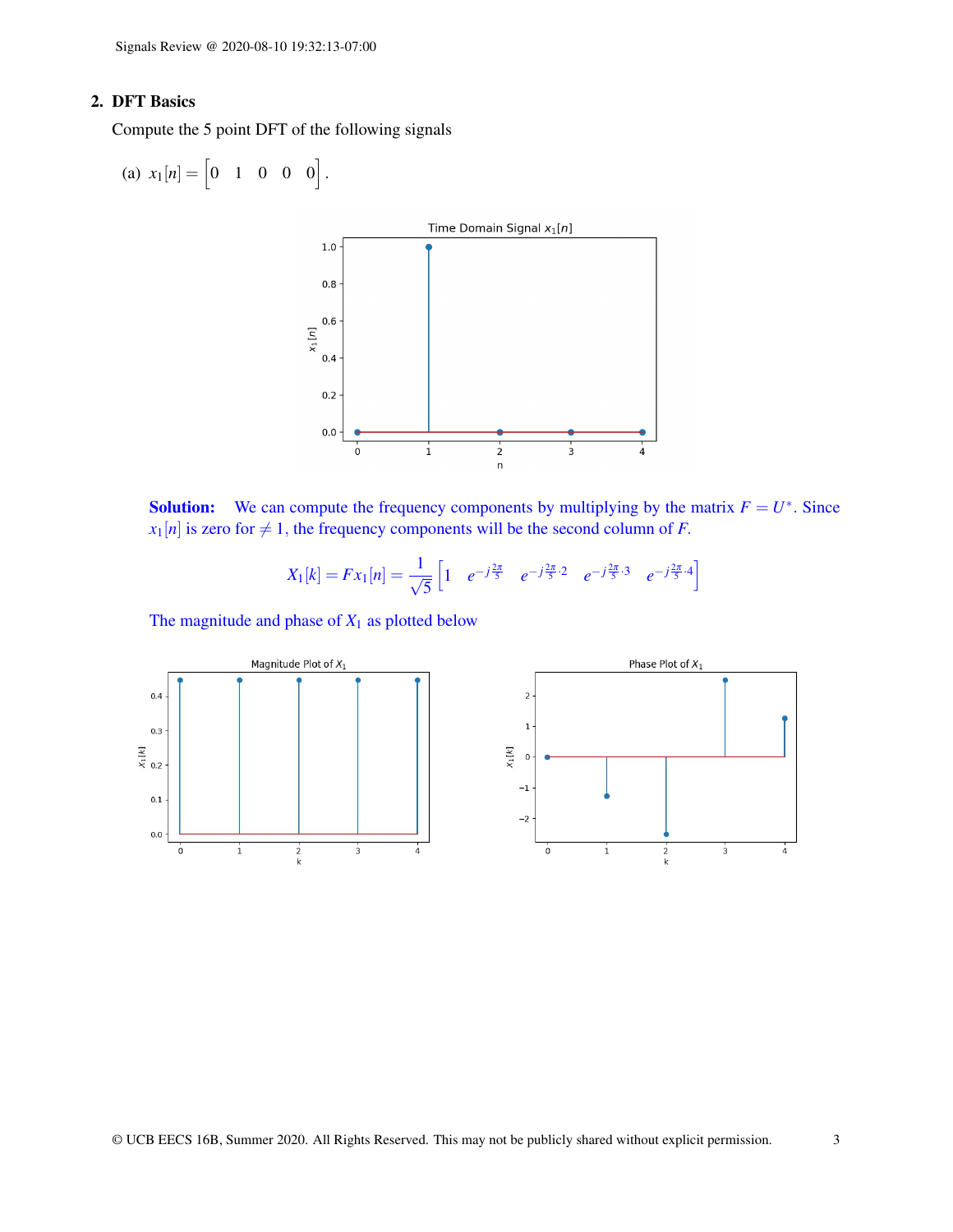# 2. DFT Basics

Compute the 5 point DFT of the following signals

$$
(a) x_1[n] = \begin{bmatrix} 0 & 1 & 0 & 0 & 0 \end{bmatrix}.
$$



**Solution:** We can compute the frequency components by multiplying by the matrix  $F = U^*$ . Since  $x_1[n]$  is zero for  $\neq 1$ , the frequency components will be the second column of *F*.

$$
X_1[k] = Fx_1[n] = \frac{1}{\sqrt{5}} \begin{bmatrix} 1 & e^{-j\frac{2\pi}{5}} & e^{-j\frac{2\pi}{5} \cdot 2} & e^{-j\frac{2\pi}{5} \cdot 3} & e^{-j\frac{2\pi}{5} \cdot 4} \end{bmatrix}
$$

The magnitude and phase of  $X_1$  as plotted below

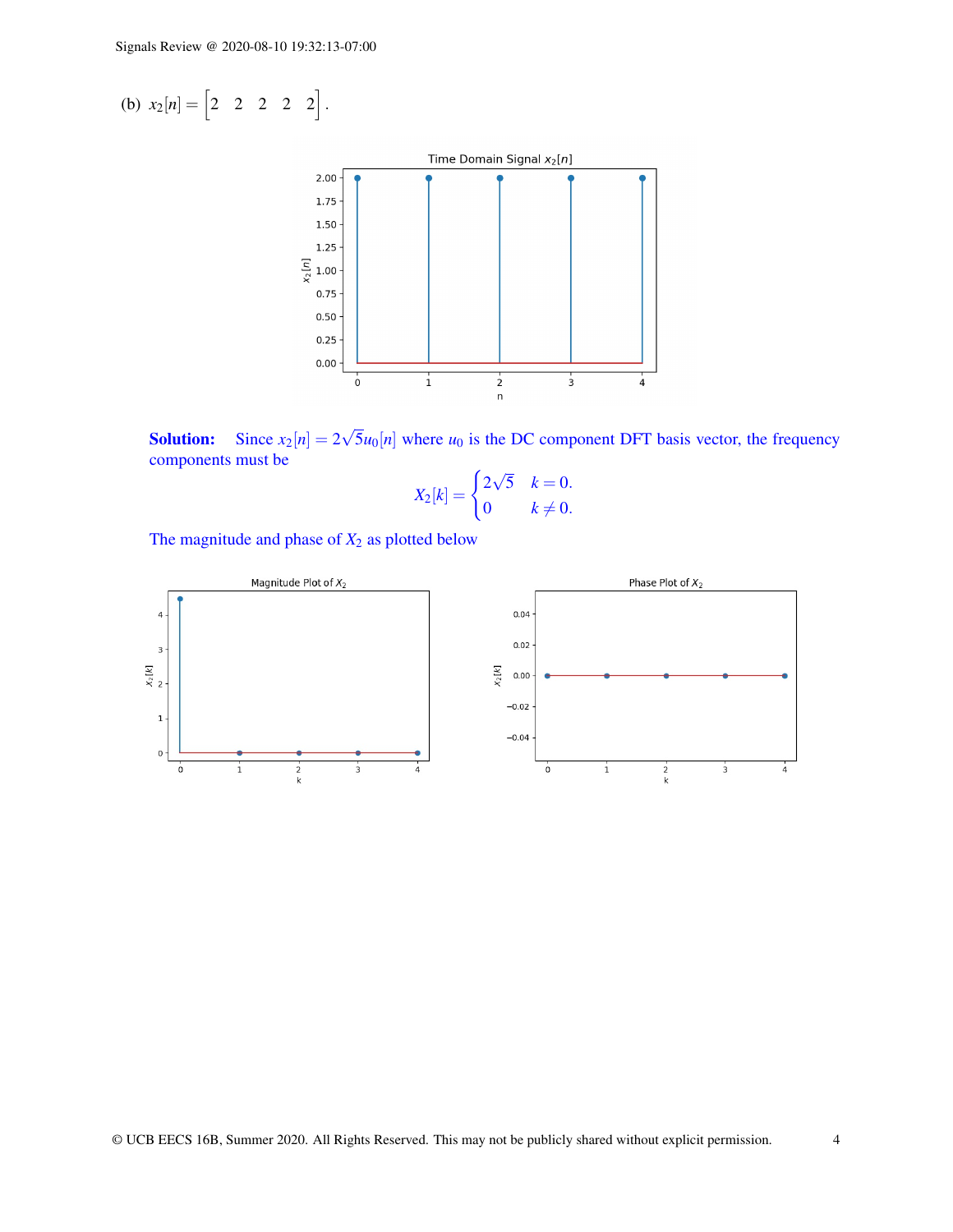$$
(b) x_2[n] = \begin{bmatrix} 2 & 2 & 2 & 2 & 2 \end{bmatrix}.
$$



**Solution:** Since  $x_2[n] = 2$ √  $5u_0[n]$  where  $u_0$  is the DC component DFT basis vector, the frequency components must be √

$$
X_2[k] = \begin{cases} 2\sqrt{5} & k = 0. \\ 0 & k \neq 0. \end{cases}
$$

The magnitude and phase of *X*<sup>2</sup> as plotted below

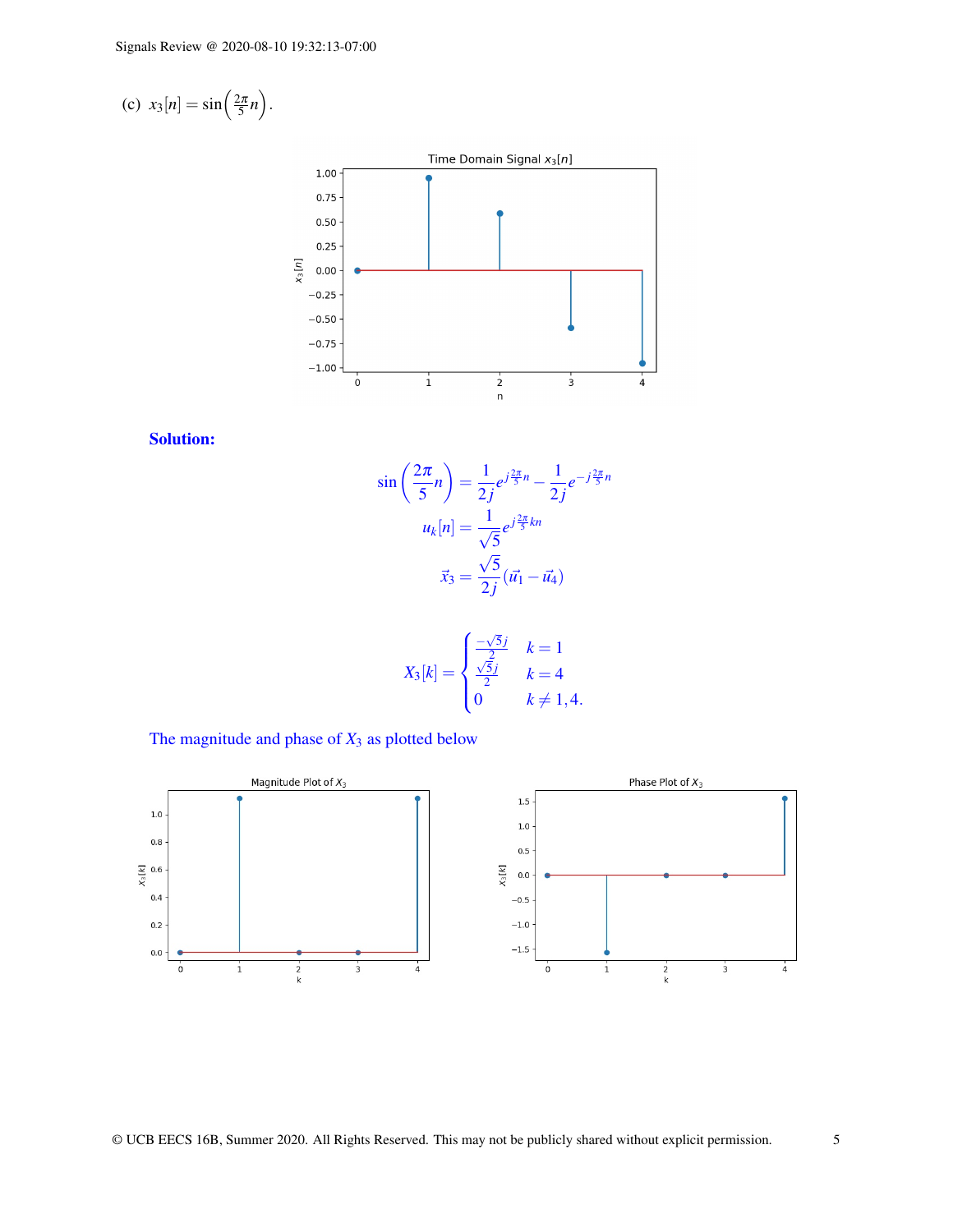(c) 
$$
x_3[n] = \sin\left(\frac{2\pi}{5}n\right)
$$
.



Solution:

$$
\sin\left(\frac{2\pi}{5}n\right) = \frac{1}{2j}e^{j\frac{2\pi}{5}n} - \frac{1}{2j}e^{-j\frac{2\pi}{5}n}
$$

$$
u_k[n] = \frac{1}{\sqrt{5}}e^{j\frac{2\pi}{5}kn}
$$

$$
\vec{x}_3 = \frac{\sqrt{5}}{2j}(\vec{u}_1 - \vec{u}_4)
$$

$$
X_3[k] = \begin{cases} \frac{-\sqrt{5}j}{2} & k = 1\\ \frac{\sqrt{5}j}{2} & k = 4\\ 0 & k \neq 1, 4. \end{cases}
$$

The magnitude and phase of *X*<sup>3</sup> as plotted below

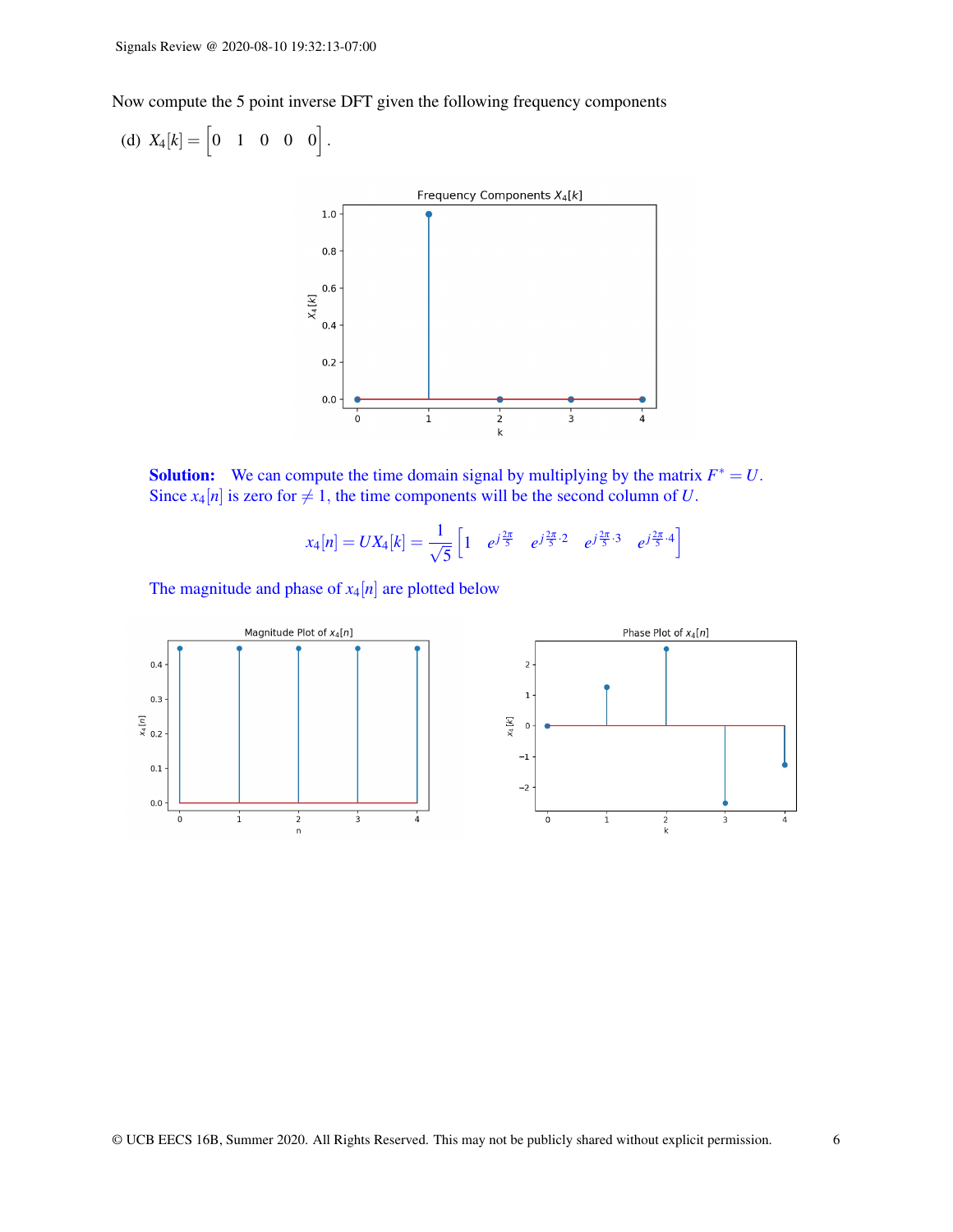Now compute the 5 point inverse DFT given the following frequency components

(d) 
$$
X_4[k] = \begin{bmatrix} 0 & 1 & 0 & 0 & 0 \end{bmatrix}
$$
.  
\n
$$
\begin{array}{c}\n 1.0 \\
\frac{1.0}{3} \\
\frac{2}{3} \\
0.4 \\
\frac{0.2}{0} \\
0.0\n \end{array}
$$
\nFrequency Components  $X_4[k]$   
\n $0.8$   
\n $0.2$   
\n $0.2$   
\n $k$   
\n3

**Solution:** We can compute the time domain signal by multiplying by the matrix  $F^* = U$ . Since  $x_4[n]$  is zero for  $\neq 1$ , the time components will be the second column of *U*.

$$
x_4[n] = U X_4[k] = \frac{1}{\sqrt{5}} \begin{bmatrix} 1 & e^{j\frac{2\pi}{5}} & e^{j\frac{2\pi}{5} \cdot 2} & e^{j\frac{2\pi}{5} \cdot 3} & e^{j\frac{2\pi}{5} \cdot 4} \end{bmatrix}
$$

The magnitude and phase of  $x_4[n]$  are plotted below

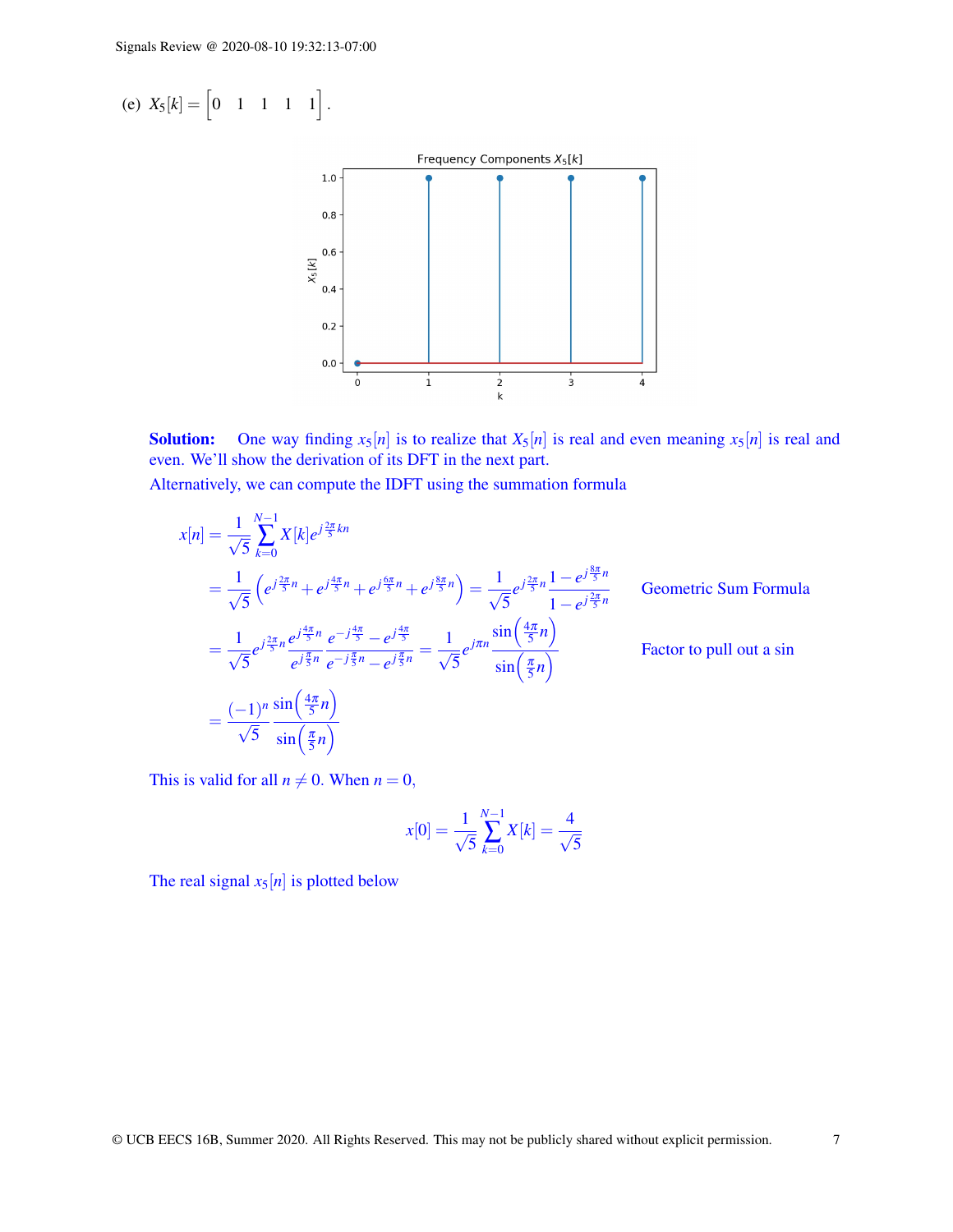(e) 
$$
X_5[k] = [0 \ 1 \ 1 \ 1 \ 1]
$$
.



**Solution:** One way finding  $x_5[n]$  is to realize that  $X_5[n]$  is real and even meaning  $x_5[n]$  is real and even. We'll show the derivation of its DFT in the next part.

Alternatively, we can compute the IDFT using the summation formula

$$
x[n] = \frac{1}{\sqrt{5}} \sum_{k=0}^{N-1} X[k] e^{j\frac{2\pi}{5}kn}
$$
  
\n
$$
= \frac{1}{\sqrt{5}} \left( e^{j\frac{2\pi}{5}n} + e^{j\frac{4\pi}{5}n} + e^{j\frac{6\pi}{5}n} + e^{j\frac{8\pi}{5}n} \right) = \frac{1}{\sqrt{5}} e^{j\frac{2\pi}{5}n} \frac{1 - e^{j\frac{8\pi}{5}n}}{1 - e^{j\frac{2\pi}{5}n}}
$$
Geometric Sum Formula  
\n
$$
= \frac{1}{\sqrt{5}} e^{j\frac{2\pi}{5}n} \frac{e^{j\frac{4\pi}{5}n}}{e^{j\frac{\pi}{5}n}} \frac{e^{-j\frac{4\pi}{5}} - e^{j\frac{4\pi}{5}}}{e^{-j\frac{\pi}{5}n} - e^{j\frac{\pi}{5}n}} = \frac{1}{\sqrt{5}} e^{j\pi n} \frac{\sin\left(\frac{4\pi}{5}n\right)}{\sin\left(\frac{\pi}{5}n\right)}
$$
Factor to pull out a sin  
\n
$$
= \frac{(-1)^n \sin\left(\frac{4\pi}{5}n\right)}{\sqrt{5} \sin\left(\frac{\pi}{5}n\right)}
$$

This is valid for all  $n \neq 0$ . When  $n = 0$ ,

$$
x[0] = \frac{1}{\sqrt{5}} \sum_{k=0}^{N-1} X[k] = \frac{4}{\sqrt{5}}
$$

The real signal  $x_5[n]$  is plotted below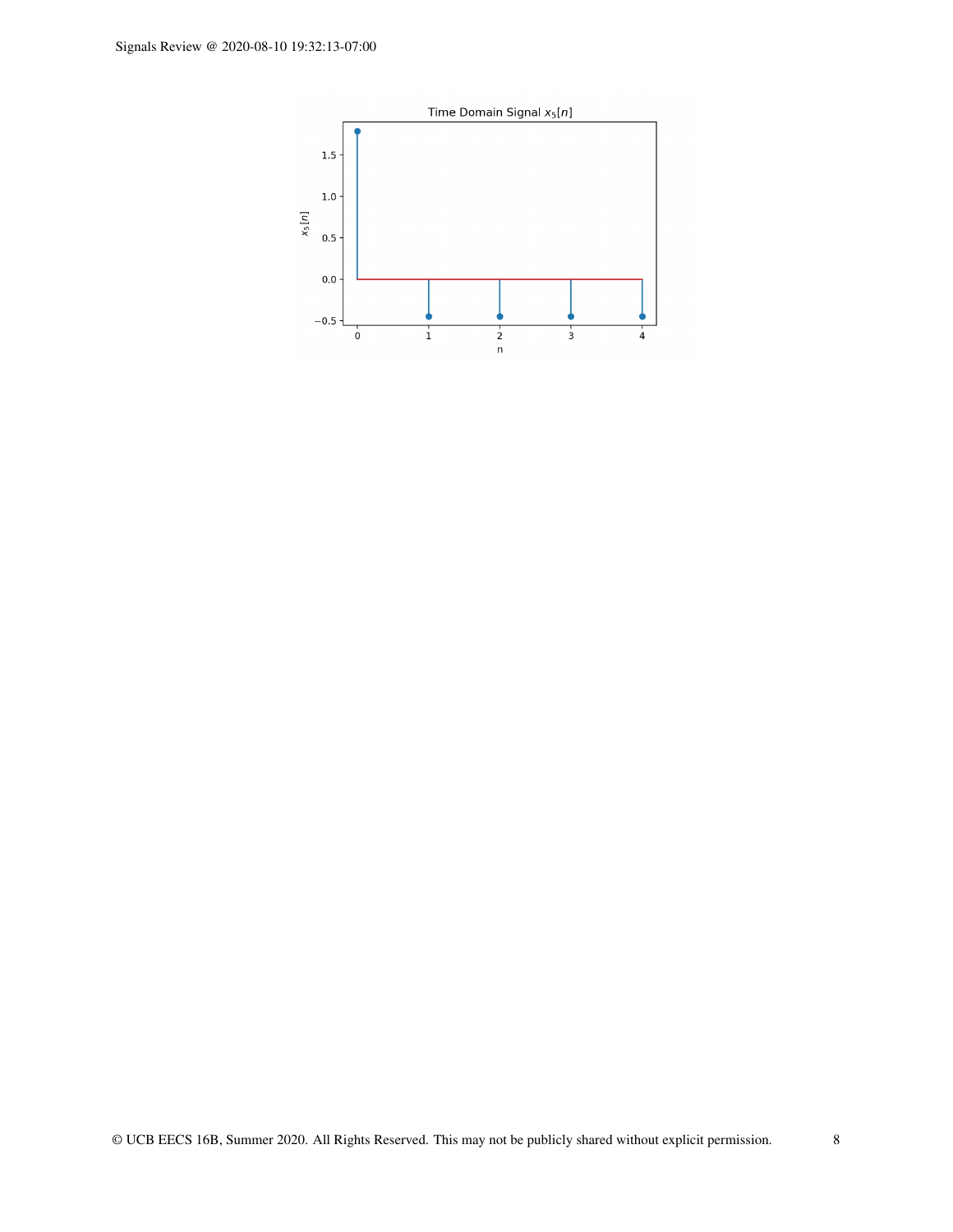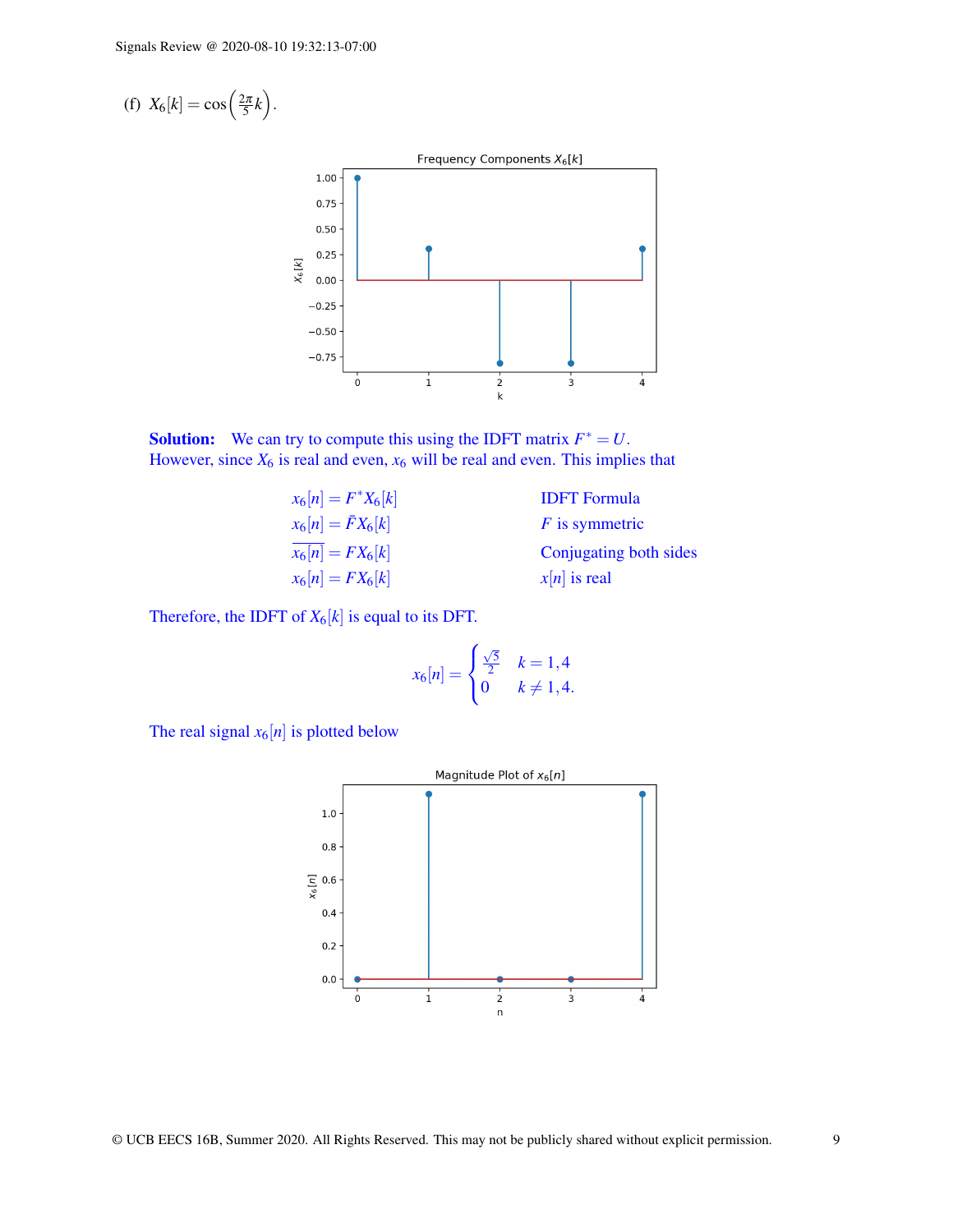(f) 
$$
X_6[k] = \cos\left(\frac{2\pi}{5}k\right)
$$
.



**Solution:** We can try to compute this using the IDFT matrix  $F^* = U$ . However, since  $X_6$  is real and even,  $x_6$  will be real and even. This implies that

| $x_6[n] = F^*X_6[k]$     | <b>IDFT</b> Formula    |
|--------------------------|------------------------|
| $x_6[n] = \bar{F}X_6[k]$ | $F$ is symmetric       |
| $x_6[n] = FX_6[k]$       | Conjugating both sides |
| $x_6[n] = FX_6[k]$       | $x[n]$ is real         |

Therefore, the IDFT of  $X_6[k]$  is equal to its DFT.

$$
x_6[n] = \begin{cases} \frac{\sqrt{5}}{2} & k = 1, 4 \\ 0 & k \neq 1, 4. \end{cases}
$$

The real signal  $x_6[n]$  is plotted below

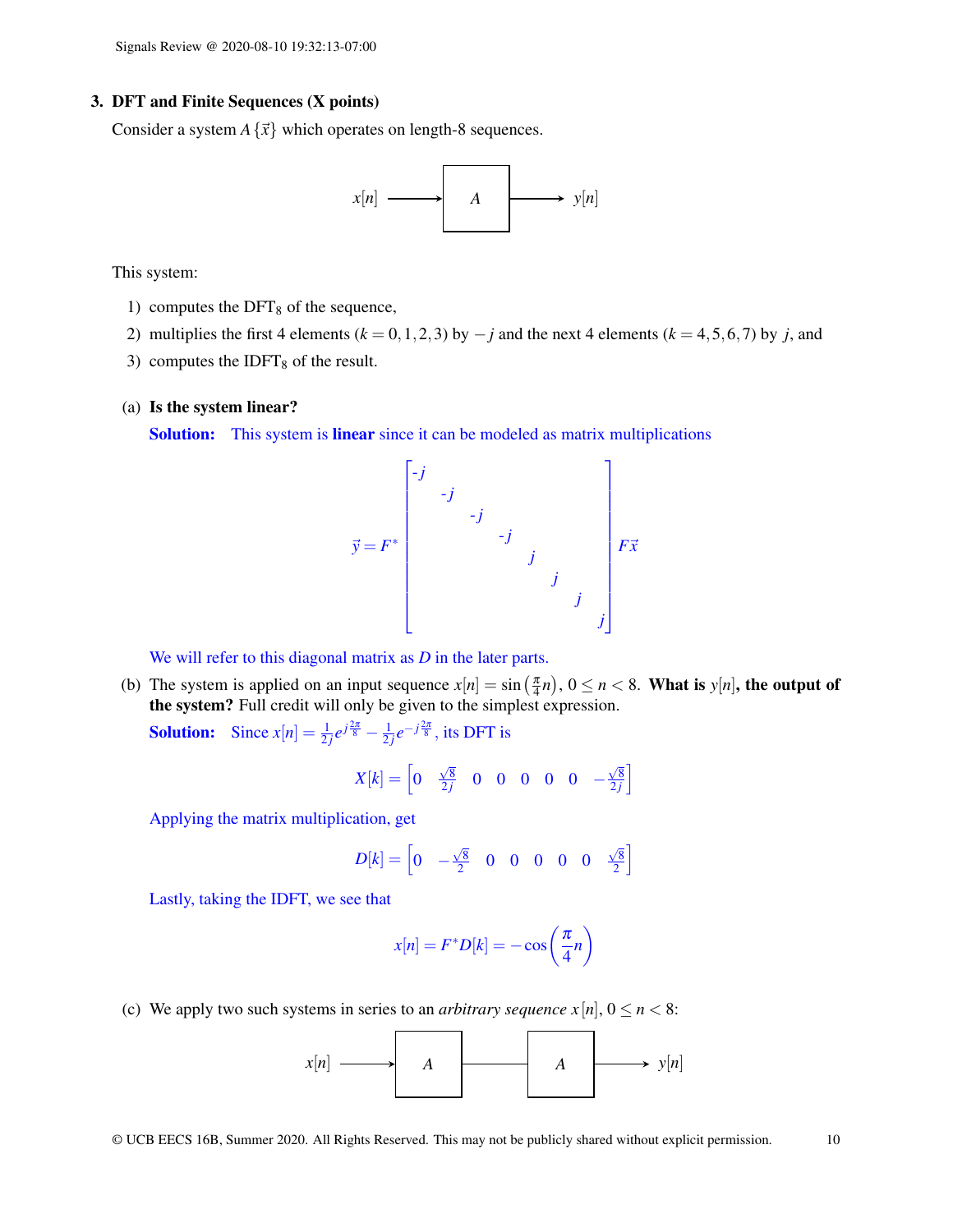## 3. DFT and Finite Sequences (X points)

Consider a system  $A\{\vec{x}\}\$  which operates on length-8 sequences.



This system:

- 1) computes the  $DFT_8$  of the sequence,
- 2) multiplies the first 4 elements ( $k = 0, 1, 2, 3$ ) by  $-j$  and the next 4 elements ( $k = 4, 5, 6, 7$ ) by *j*, and
- 3) computes the IDFT $_8$  of the result.

## (a) Is the system linear?

Solution: This system is linear since it can be modeled as matrix multiplications

$$
\vec{y} = F^* \begin{bmatrix} -j & & & & & & \\ & -j & & & & & \\ & & -j & & & & \\ & & & -j & & & \\ & & & & j & & \\ & & & & & j & & \\ & & & & & & j \end{bmatrix} F \vec{x}
$$

We will refer to this diagonal matrix as *D* in the later parts.

(b) The system is applied on an input sequence  $x[n] = \sin(\frac{\pi}{4}n)$ ,  $0 \le n < 8$ . What is  $y[n]$ , the output of the system? Full credit will only be given to the simplest expression.

**Solution:** Since  $x[n] = \frac{1}{2j}e^{j\frac{2\pi}{8}} - \frac{1}{2j}e^{-j\frac{2\pi}{8}}$ , its DFT is

$$
X[k] = \begin{bmatrix} 0 & \frac{\sqrt{8}}{2j} & 0 & 0 & 0 & 0 & -\frac{\sqrt{8}}{2j} \end{bmatrix}
$$

Applying the matrix multiplication, get

$$
D[k] = \begin{bmatrix} 0 & -\frac{\sqrt{8}}{2} & 0 & 0 & 0 & 0 & \frac{\sqrt{8}}{2} \end{bmatrix}
$$

Lastly, taking the IDFT, we see that

$$
x[n] = F^*D[k] = -\cos\left(\frac{\pi}{4}n\right)
$$

(c) We apply two such systems in series to an *arbitrary sequence*  $x[n], 0 \le n < 8$ :

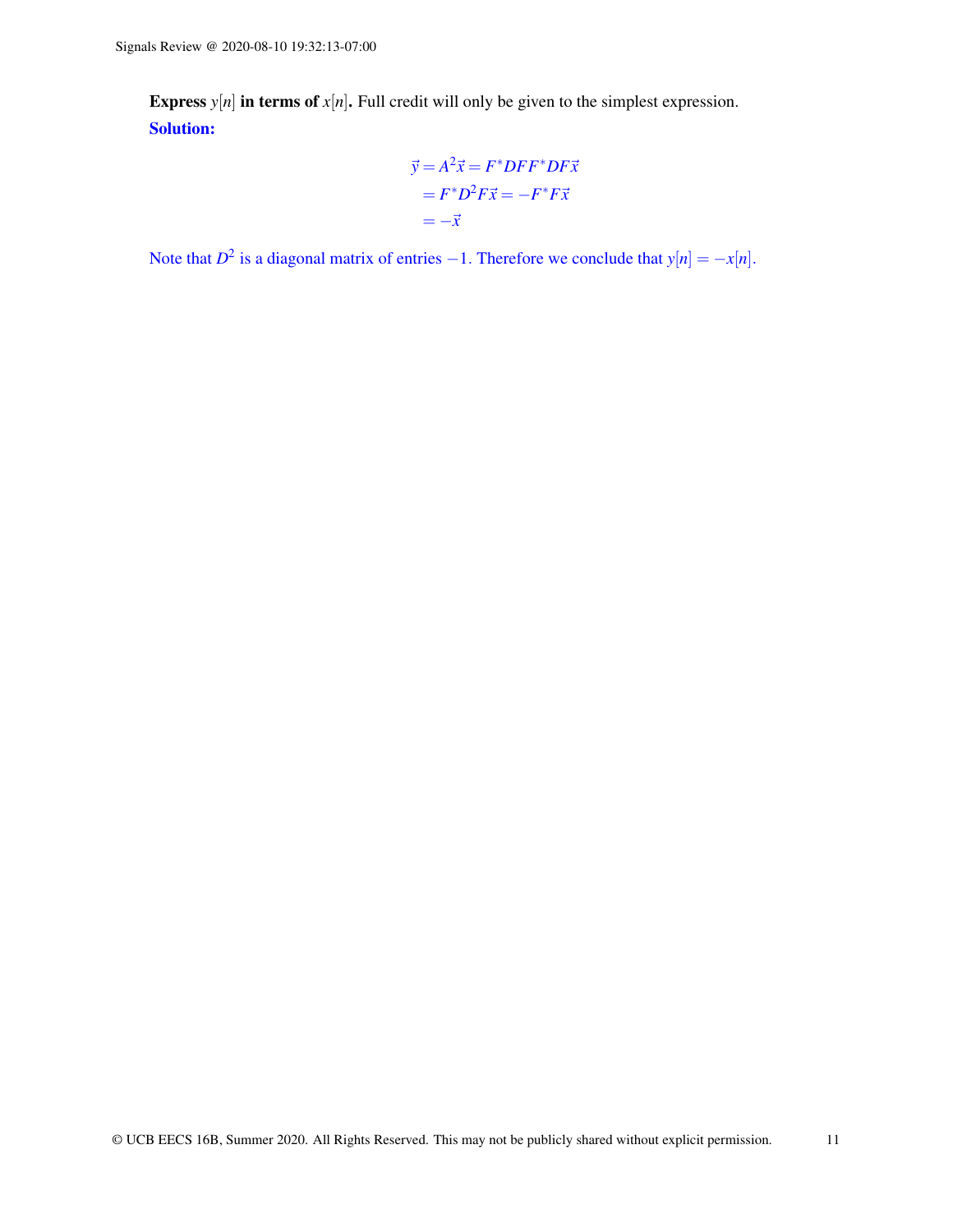Express  $y[n]$  in terms of  $x[n]$ . Full credit will only be given to the simplest expression. Solution:

$$
\vec{y} = A^2 \vec{x} = F^* D F F^* D F \vec{x}
$$

$$
= F^* D^2 F \vec{x} = -F^* F \vec{x}
$$

$$
= -\vec{x}
$$

Note that  $D^2$  is a diagonal matrix of entries  $-1$ . Therefore we conclude that  $y[n] = -x[n]$ .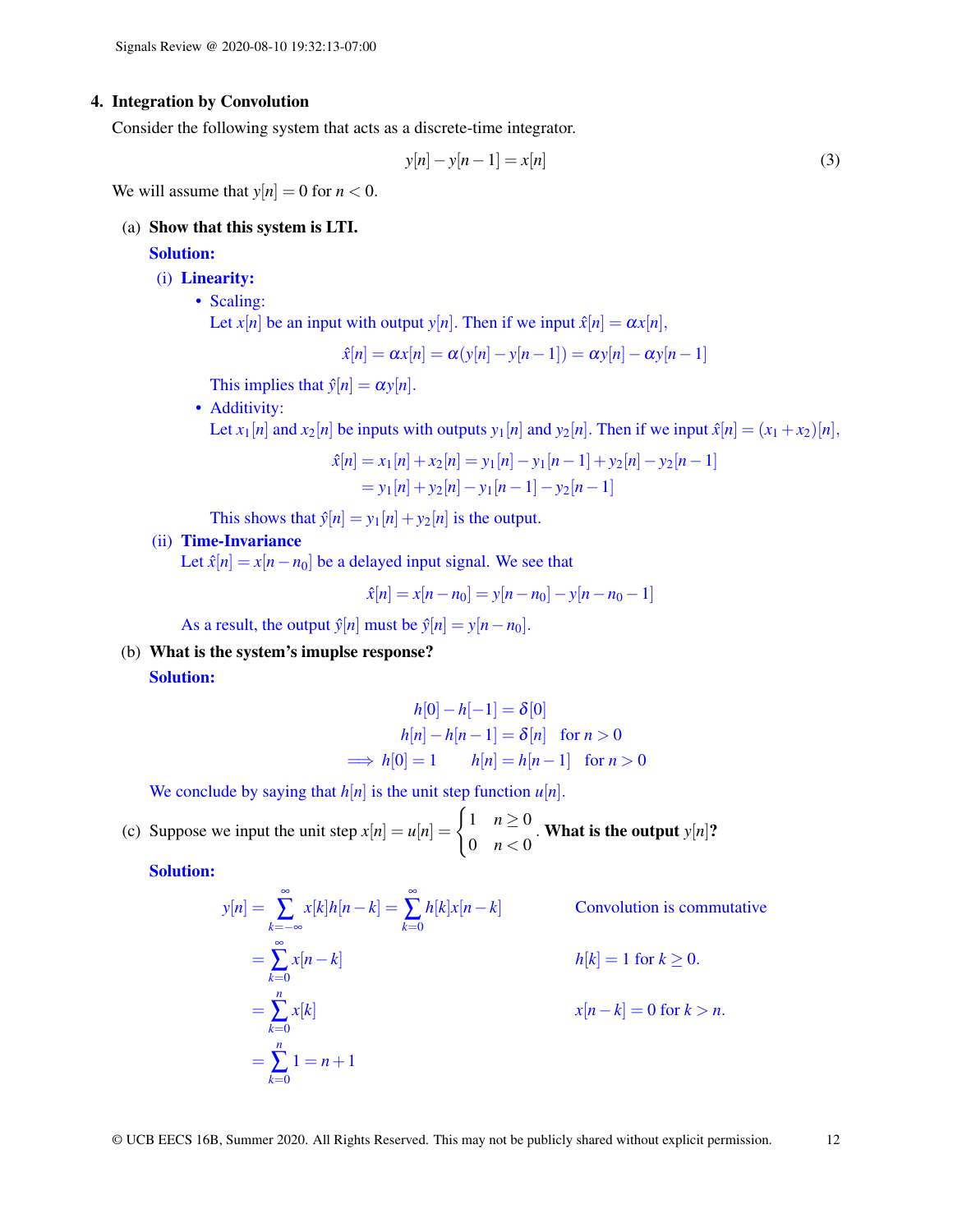## 4. Integration by Convolution

Consider the following system that acts as a discrete-time integrator.

$$
y[n] - y[n-1] = x[n] \tag{3}
$$

We will assume that  $y[n] = 0$  for  $n < 0$ .

## (a) Show that this system is LTI.

Solution:

# (i) Linearity:

• Scaling:

Let *x*[*n*] be an input with output *y*[*n*]. Then if we input  $\hat{x}[n] = \alpha x[n]$ ,

$$
\hat{x}[n] = \alpha x[n] = \alpha (y[n] - y[n-1]) = \alpha y[n] - \alpha y[n-1]
$$

This implies that  $\hat{y}[n] = \alpha y[n]$ .

• Additivity:

Let  $x_1[n]$  and  $x_2[n]$  be inputs with outputs  $y_1[n]$  and  $y_2[n]$ . Then if we input  $\hat{x}[n] = (x_1 + x_2)[n]$ ,

$$
\hat{x}[n] = x_1[n] + x_2[n] = y_1[n] - y_1[n-1] + y_2[n] - y_2[n-1]
$$
  
=  $y_1[n] + y_2[n] - y_1[n-1] - y_2[n-1]$ 

This shows that  $\hat{y}[n] = y_1[n] + y_2[n]$  is the output.

(ii) Time-Invariance

Let  $\hat{x}[n] = x[n - n_0]$  be a delayed input signal. We see that

$$
\hat{x}[n] = x[n - n_0] = y[n - n_0] - y[n - n_0 - 1]
$$

As a result, the output  $\hat{y}[n]$  must be  $\hat{y}[n] = y[n - n_0]$ .

(b) What is the system's imuplse response?

Solution:

$$
h[0] - h[-1] = \delta[0]
$$
  
\n
$$
h[n] - h[n-1] = \delta[n] \quad \text{for } n > 0
$$
  
\n
$$
\implies h[0] = 1 \qquad h[n] = h[n-1] \quad \text{for } n > 0
$$

We conclude by saying that  $h[n]$  is the unit step function  $u[n]$ .

(c) Suppose we input the unit step 
$$
x[n] = u[n] = \begin{cases} 1 & n \ge 0 \\ 0 & n < 0 \end{cases}
$$
. What is the output  $y[n]$ ?

Solution:

$$
y[n] = \sum_{k=-\infty}^{\infty} x[k]h[n-k] = \sum_{k=0}^{\infty} h[k]x[n-k]
$$
Convolution is commutative  

$$
= \sum_{k=0}^{\infty} x[n-k]
$$

$$
h[k] = 1 \text{ for } k \ge 0.
$$

$$
= \sum_{k=0}^{n} x[k]
$$

$$
x[n-k] = 0 \text{ for } k > n.
$$

$$
= \sum_{k=0}^{n} 1 = n+1
$$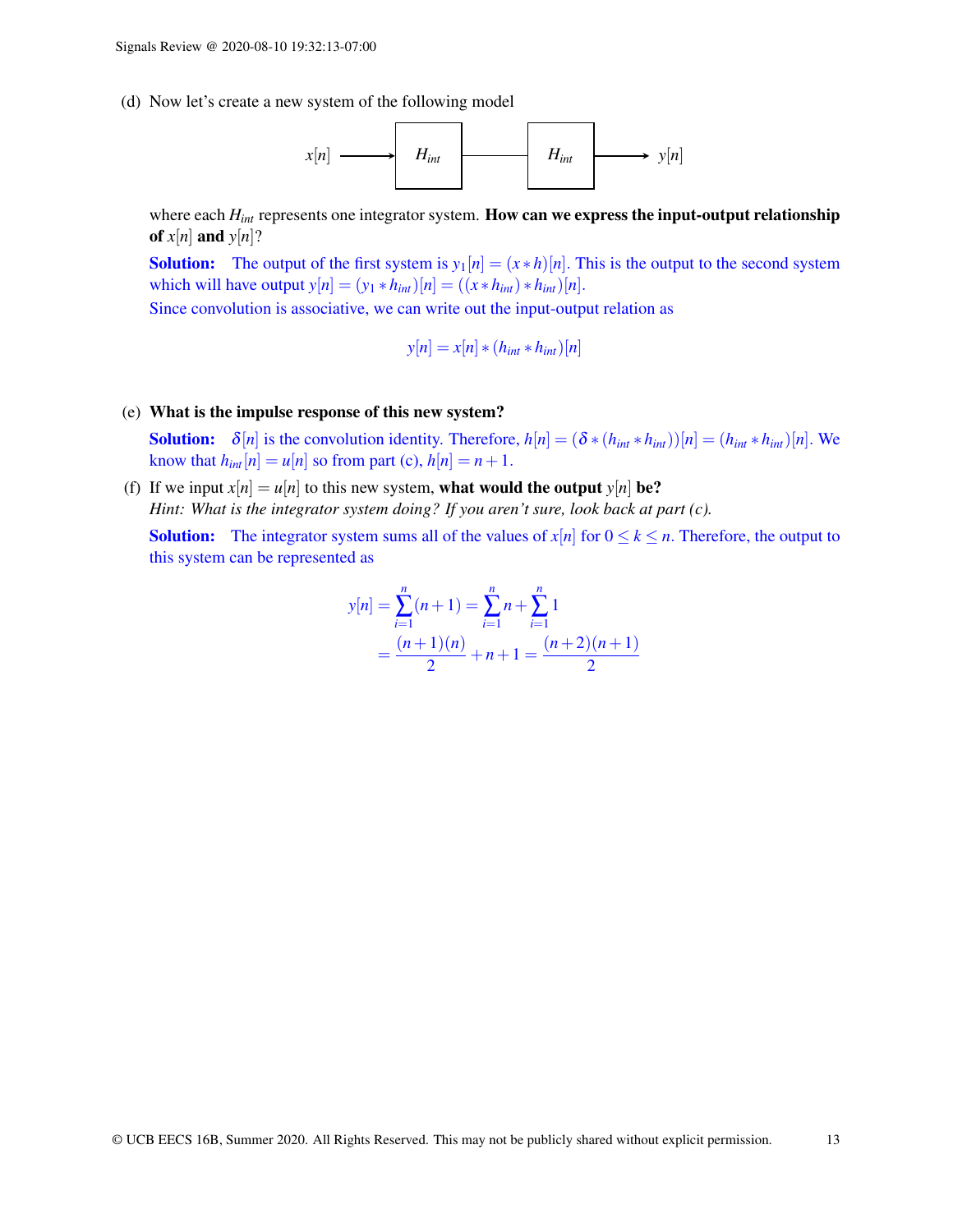(d) Now let's create a new system of the following model



where each  $H_{int}$  represents one integrator system. How can we express the input-output relationship of  $x[n]$  and  $y[n]$ ?

**Solution:** The output of the first system is  $y_1[n] = (x * h)[n]$ . This is the output to the second system which will have output  $y[n] = (y_1 * h_{int})[n] = ((x * h_{int}) * h_{int})[n]$ .

Since convolution is associative, we can write out the input-output relation as

$$
y[n] = x[n] * (h_{int} * h_{int})[n]
$$

### (e) What is the impulse response of this new system?

**Solution:**  $\delta[n]$  is the convolution identity. Therefore,  $h[n] = (\delta * (h_{int} * h_{int}))[n] = (h_{int} * h_{int})[n]$ . We know that  $h_{int}[n] = u[n]$  so from part (c),  $h[n] = n + 1$ .

(f) If we input  $x[n] = u[n]$  to this new system, what would the output  $y[n]$  be? *Hint: What is the integrator system doing? If you aren't sure, look back at part (c).*

**Solution:** The integrator system sums all of the values of  $x[n]$  for  $0 \le k \le n$ . Therefore, the output to this system can be represented as

$$
y[n] = \sum_{i=1}^{n} (n+1) = \sum_{i=1}^{n} n + \sum_{i=1}^{n} 1
$$
  
= 
$$
\frac{(n+1)(n)}{2} + n + 1 = \frac{(n+2)(n+1)}{2}
$$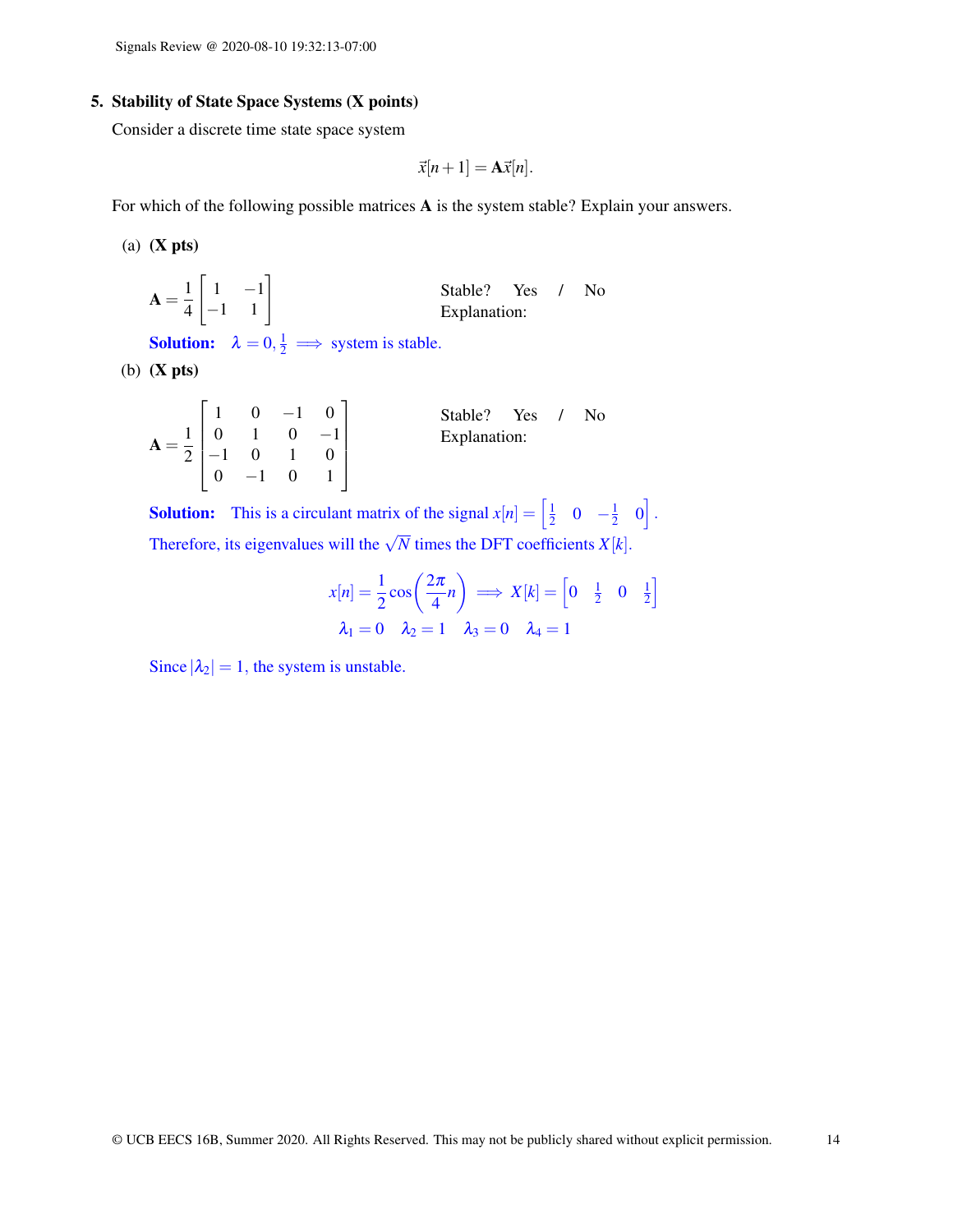## 5. Stability of State Space Systems (X points)

Consider a discrete time state space system

$$
\vec{x}[n+1] = \mathbf{A}\vec{x}[n].
$$

For which of the following possible matrices A is the system stable? Explain your answers.

(a)  $(X<sub>pts</sub>)$ 

$$
\mathbf{A} = \frac{1}{4} \begin{bmatrix} 1 & -1 \\ -1 & 1 \end{bmatrix}
$$
 Stable? Yes / No  
Explanation:

**Solution:**  $\lambda = 0, \frac{1}{2} \implies$  system is stable.

(b) (X pts)

$$
\mathbf{A} = \frac{1}{2} \begin{bmatrix} 1 & 0 & -1 & 0 \\ 0 & 1 & 0 & -1 \\ -1 & 0 & 1 & 0 \\ 0 & -1 & 0 & 1 \end{bmatrix}
$$
 Stable? Yes / No  
Explanation:

**Solution:** This is a circulant matrix of the signal  $x[n] = \frac{1}{2}$  $\frac{1}{2}$  0  $-\frac{1}{2}$  $\frac{1}{2}$  0. Therefore, its eigenvalues will the  $\sqrt{N}$  times the DFT coefficients  $X[k]$ .

$$
x[n] = \frac{1}{2}\cos\left(\frac{2\pi}{4}n\right) \implies X[k] = \begin{bmatrix} 0 & \frac{1}{2} & 0 & \frac{1}{2} \end{bmatrix}
$$

$$
\lambda_1 = 0 \quad \lambda_2 = 1 \quad \lambda_3 = 0 \quad \lambda_4 = 1
$$

Since  $|\lambda_2| = 1$ , the system is unstable.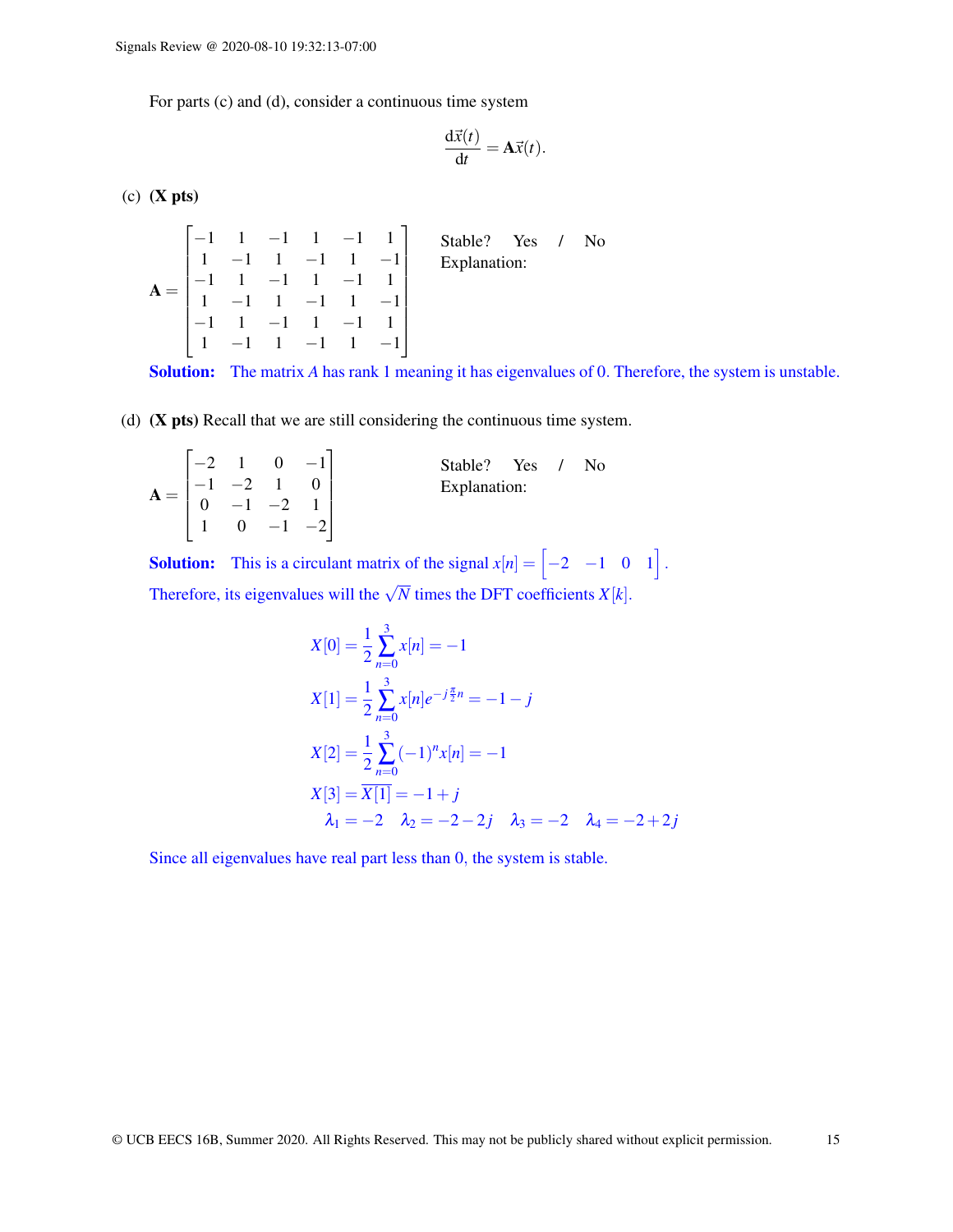For parts (c) and (d), consider a continuous time system

$$
\frac{\mathrm{d}\vec{x}(t)}{\mathrm{d}t} = \mathbf{A}\vec{x}(t).
$$

(c) (X pts)

$$
\mathbf{A} = \begin{bmatrix} -1 & 1 & -1 & 1 & -1 & 1 \\ 1 & -1 & 1 & -1 & 1 & -1 \\ -1 & 1 & -1 & 1 & -1 & 1 \\ 1 & -1 & 1 & -1 & 1 & -1 \\ -1 & 1 & -1 & 1 & -1 & 1 \\ 1 & -1 & 1 & -1 & 1 & -1 \end{bmatrix}
$$
 Stable? Yes / No

Solution: The matrix *A* has rank 1 meaning it has eigenvalues of 0. Therefore, the system is unstable.

(d)  $(X$  pts) Recall that we are still considering the continuous time system.

$$
\mathbf{A} = \begin{bmatrix} -2 & 1 & 0 & -1 \\ -1 & -2 & 1 & 0 \\ 0 & -1 & -2 & 1 \\ 1 & 0 & -1 & -2 \end{bmatrix}
$$
 Stable? Yes / No  
Explanation:

**Solution:** This is a circulant matrix of the signal  $x[n] = \begin{bmatrix} -2 & -1 & 0 & 1 \end{bmatrix}$ . Therefore, its eigenvalues will the  $\sqrt{N}$  times the DFT coefficients *X*[*k*].

$$
X[0] = \frac{1}{2} \sum_{n=0}^{3} x[n] = -1
$$
  
\n
$$
X[1] = \frac{1}{2} \sum_{n=0}^{3} x[n]e^{-j\frac{\pi}{2}n} = -1 - j
$$
  
\n
$$
X[2] = \frac{1}{2} \sum_{n=0}^{3} (-1)^{n} x[n] = -1
$$
  
\n
$$
X[3] = \overline{X[1]} = -1 + j
$$
  
\n
$$
\lambda_1 = -2 \quad \lambda_2 = -2 - 2j \quad \lambda_3 = -2 \quad \lambda_4 = -2 + 2j
$$

Since all eigenvalues have real part less than 0, the system is stable.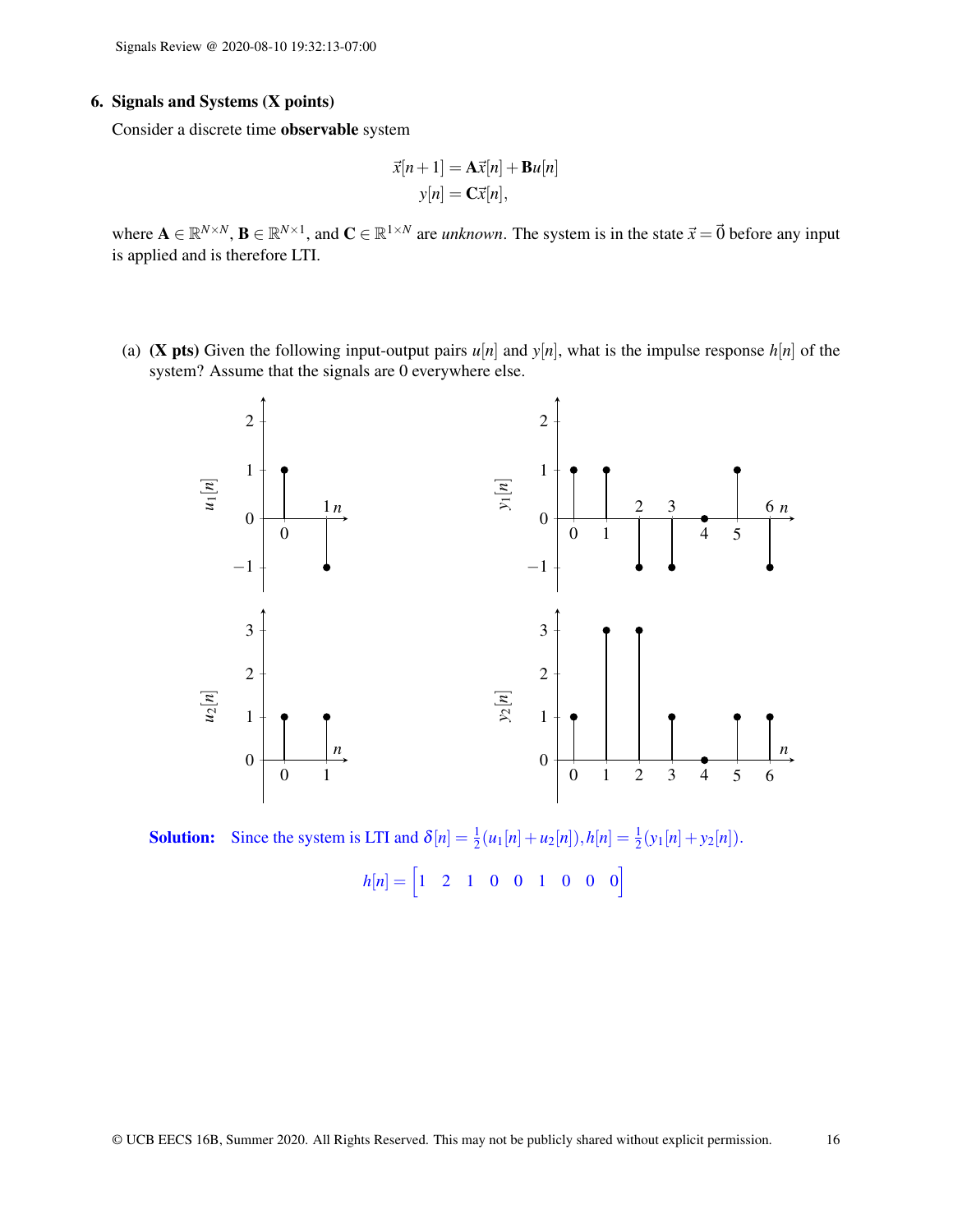## 6. Signals and Systems (X points)

Consider a discrete time observable system

$$
\vec{x}[n+1] = \mathbf{A}\vec{x}[n] + \mathbf{B}u[n]
$$

$$
y[n] = \mathbf{C}\vec{x}[n],
$$

where  $A \in \mathbb{R}^{N \times N}$ ,  $B \in \mathbb{R}^{N \times 1}$ , and  $C \in \mathbb{R}^{1 \times N}$  are *unknown*. The system is in the state  $\vec{x} = \vec{0}$  before any input is applied and is therefore LTI.

(a) (**X** pts) Given the following input-output pairs  $u[n]$  and  $y[n]$ , what is the impulse response  $h[n]$  of the system? Assume that the signals are 0 everywhere else.



**Solution:** Since the system is LTI and  $\delta[n] = \frac{1}{2}(u_1[n] + u_2[n]), h[n] = \frac{1}{2}(y_1[n] + y_2[n]).$  $h[n] = \begin{bmatrix} 1 & 2 & 1 & 0 & 0 & 1 & 0 & 0 & 0 \end{bmatrix}$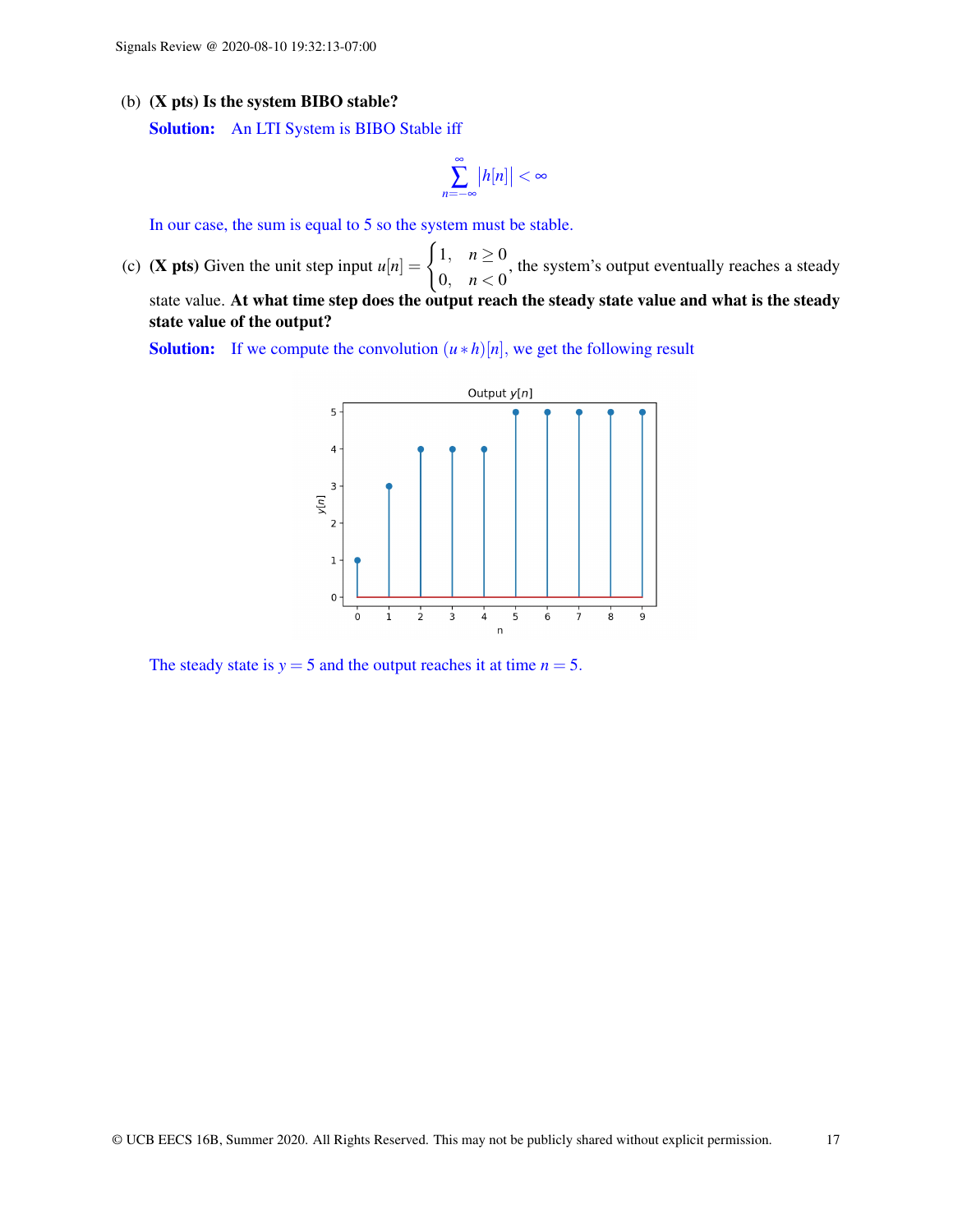(b) (X pts) Is the system BIBO stable?

Solution: An LTI System is BIBO Stable iff

$$
\sum_{n=-\infty}^{\infty} |h[n]| < \infty
$$

In our case, the sum is equal to 5 so the system must be stable.

(c) (**X** pts) Given the unit step input  $u[n] = \begin{cases} 1, & n \ge 0 \\ 0, & n \ge 0 \end{cases}$  $0, \quad n < 0$ , the system's output eventually reaches a steady state value. At what time step does the output reach the steady state value and what is the steady state value of the output?

**Solution:** If we compute the convolution  $(u * h)[n]$ , we get the following result



The steady state is  $y = 5$  and the output reaches it at time  $n = 5$ .